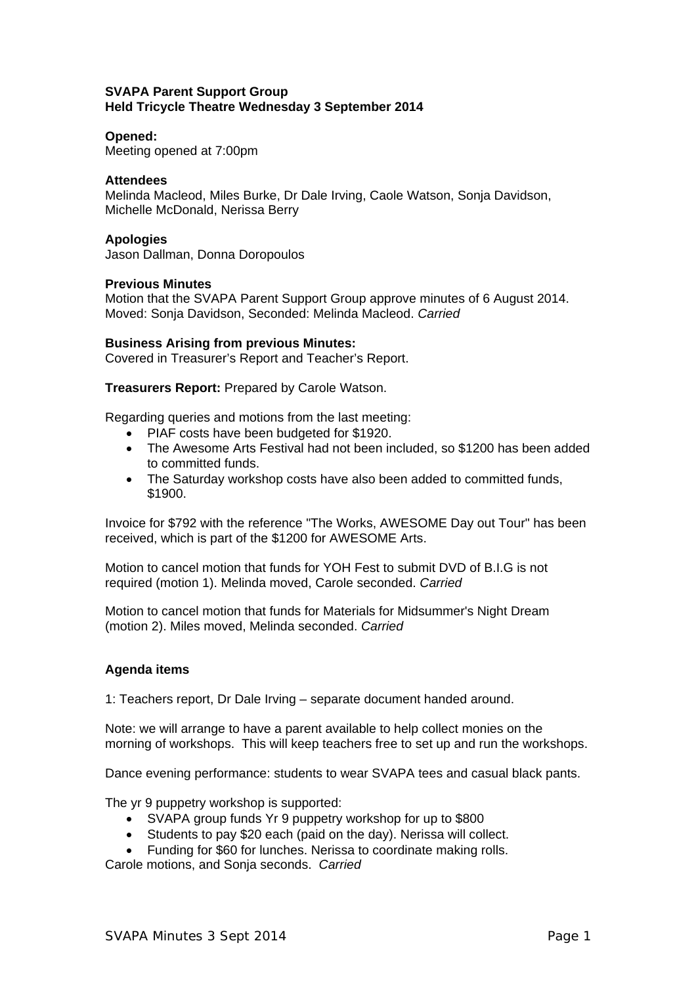## **SVAPA Parent Support Group Held Tricycle Theatre Wednesday 3 September 2014**

### **Opened:**

Meeting opened at 7:00pm

### **Attendees**

Melinda Macleod, Miles Burke, Dr Dale Irving, Caole Watson, Sonja Davidson, Michelle McDonald, Nerissa Berry

#### **Apologies**

Jason Dallman, Donna Doropoulos

### **Previous Minutes**

Motion that the SVAPA Parent Support Group approve minutes of 6 August 2014. Moved: Sonja Davidson, Seconded: Melinda Macleod. *Carried*

### **Business Arising from previous Minutes:**

Covered in Treasurer's Report and Teacher's Report.

**Treasurers Report:** Prepared by Carole Watson.

Regarding queries and motions from the last meeting:

- PIAF costs have been budgeted for \$1920.
- The Awesome Arts Festival had not been included, so \$1200 has been added to committed funds.
- The Saturday workshop costs have also been added to committed funds, \$1900.

Invoice for \$792 with the reference "The Works, AWESOME Day out Tour" has been received, which is part of the \$1200 for AWESOME Arts.

Motion to cancel motion that funds for YOH Fest to submit DVD of B.I.G is not required (motion 1). Melinda moved, Carole seconded. *Carried*

Motion to cancel motion that funds for Materials for Midsummer's Night Dream (motion 2). Miles moved, Melinda seconded. *Carried*

# **Agenda items**

1: Teachers report, Dr Dale Irving – separate document handed around.

Note: we will arrange to have a parent available to help collect monies on the morning of workshops. This will keep teachers free to set up and run the workshops.

Dance evening performance: students to wear SVAPA tees and casual black pants.

The yr 9 puppetry workshop is supported:

- SVAPA group funds Yr 9 puppetry workshop for up to \$800
- Students to pay \$20 each (paid on the day). Nerissa will collect.
- Funding for \$60 for lunches. Nerissa to coordinate making rolls.

Carole motions, and Sonja seconds. *Carried*